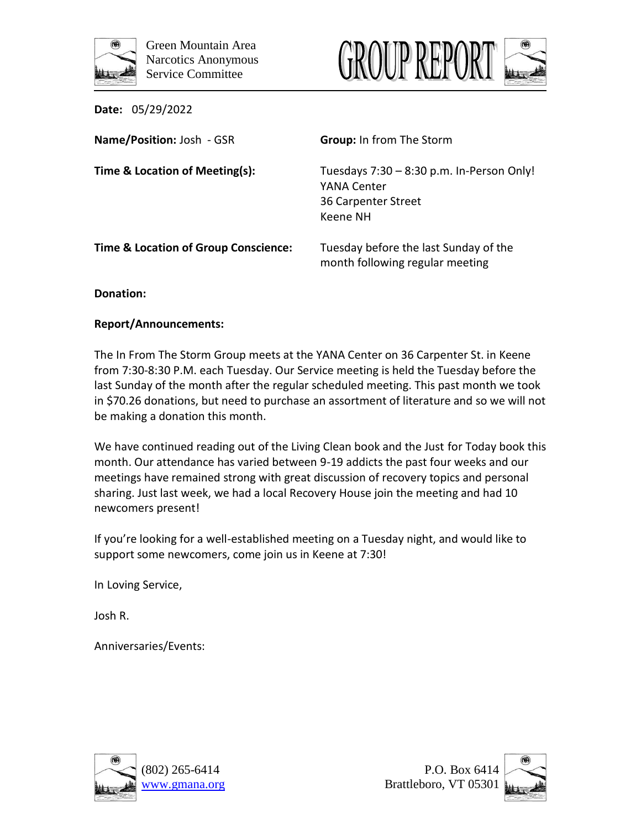



| <b>Date: 05/29/2022</b>                         |                                                                                             |
|-------------------------------------------------|---------------------------------------------------------------------------------------------|
| Name/Position: Josh - GSR                       | <b>Group:</b> In from The Storm                                                             |
| Time & Location of Meeting(s):                  | Tuesdays 7:30 - 8:30 p.m. In-Person Only!<br>YANA Center<br>36 Carpenter Street<br>Keene NH |
| <b>Time &amp; Location of Group Conscience:</b> | Tuesday before the last Sunday of the<br>month following regular meeting                    |

**Donation:**

## **Report/Announcements:**

The In From The Storm Group meets at the YANA Center on 36 Carpenter St. in Keene from 7:30-8:30 P.M. each Tuesday. Our Service meeting is held the Tuesday before the last Sunday of the month after the regular scheduled meeting. This past month we took in \$70.26 donations, but need to purchase an assortment of literature and so we will not be making a donation this month.

We have continued reading out of the Living Clean book and the Just for Today book this month. Our attendance has varied between 9-19 addicts the past four weeks and our meetings have remained strong with great discussion of recovery topics and personal sharing. Just last week, we had a local Recovery House join the meeting and had 10 newcomers present!

If you're looking for a well-established meeting on a Tuesday night, and would like to support some newcomers, come join us in Keene at 7:30!

In Loving Service,

Josh R.





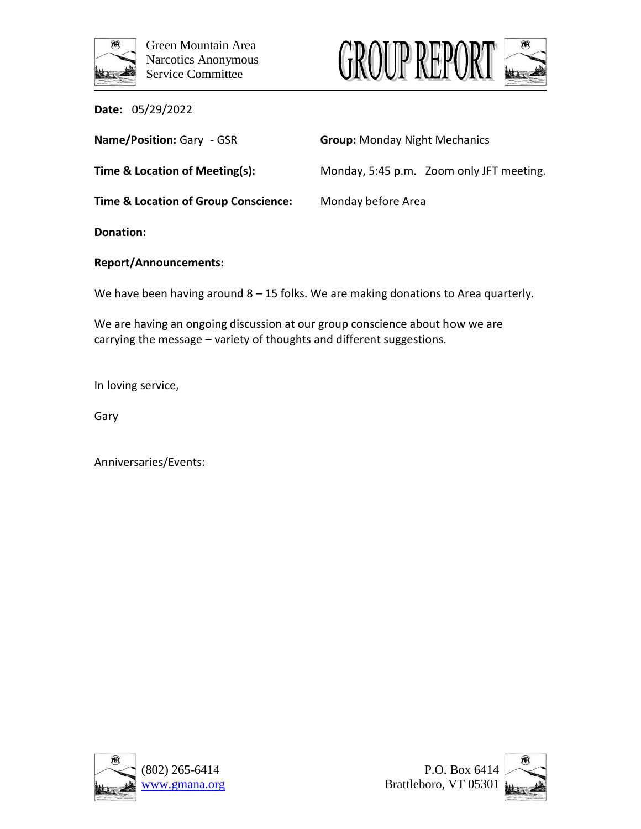



| Name/Position: Gary - GSR                       | <b>Group: Monday Night Mechanics</b>     |
|-------------------------------------------------|------------------------------------------|
| Time & Location of Meeting(s):                  | Monday, 5:45 p.m. Zoom only JFT meeting. |
| <b>Time &amp; Location of Group Conscience:</b> | Monday before Area                       |
| Donation:                                       |                                          |

## **Report/Announcements:**

We have been having around 8 – 15 folks. We are making donations to Area quarterly.

We are having an ongoing discussion at our group conscience about how we are carrying the message – variety of thoughts and different suggestions.

In loving service,

Gary



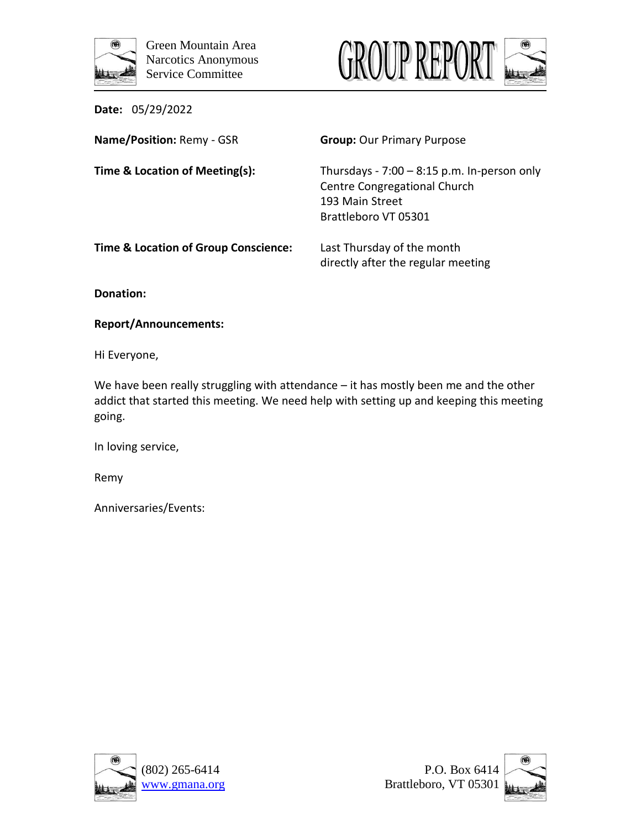



**Name/Position:** Remy - GSR **Group:** Our Primary Purpose **Time & Location of Meeting(s):** Thursdays - 7:00 – 8:15 p.m. In-person only Centre Congregational Church 193 Main Street Brattleboro VT 05301 **Time & Location of Group Conscience:** Last Thursday of the month directly after the regular meeting

**Donation:** 

**Report/Announcements:**

Hi Everyone,

We have been really struggling with attendance - it has mostly been me and the other addict that started this meeting. We need help with setting up and keeping this meeting going.

In loving service,

Remy





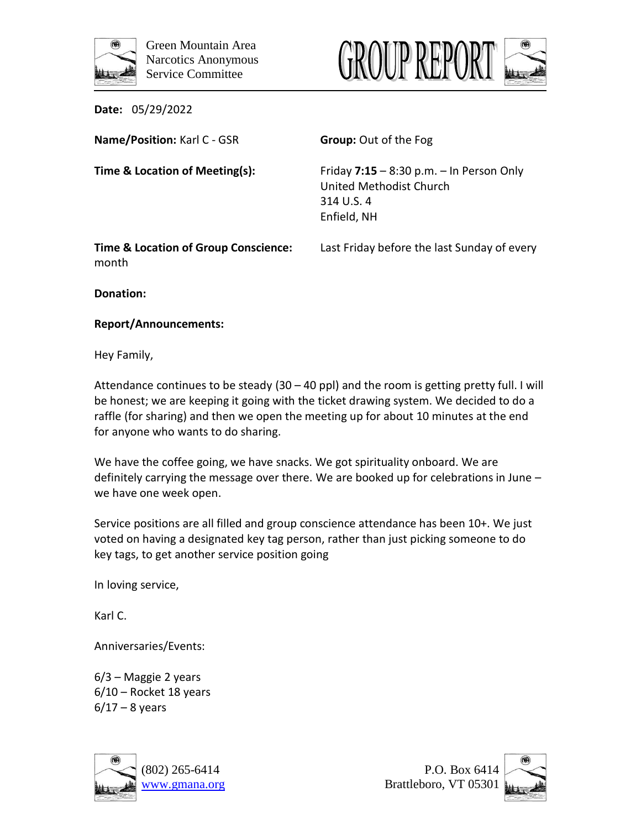



**Name/Position:** Karl C - GSR **Group:** Out of the Fog

**Time & Location of Meeting(s):** Friday **7:15** – 8:30 p.m. – In Person Only United Methodist Church 314 U.S. 4 Enfield, NH

month

**Time & Location of Group Conscience:** Last Friday before the last Sunday of every

**Donation:**

## **Report/Announcements:**

Hey Family,

Attendance continues to be steady (30 – 40 ppl) and the room is getting pretty full. I will be honest; we are keeping it going with the ticket drawing system. We decided to do a raffle (for sharing) and then we open the meeting up for about 10 minutes at the end for anyone who wants to do sharing.

We have the coffee going, we have snacks. We got spirituality onboard. We are definitely carrying the message over there. We are booked up for celebrations in June – we have one week open.

Service positions are all filled and group conscience attendance has been 10+. We just voted on having a designated key tag person, rather than just picking someone to do key tags, to get another service position going

In loving service,

Karl C.

Anniversaries/Events:

6/3 – Maggie 2 years 6/10 – Rocket 18 years  $6/17 - 8$  years





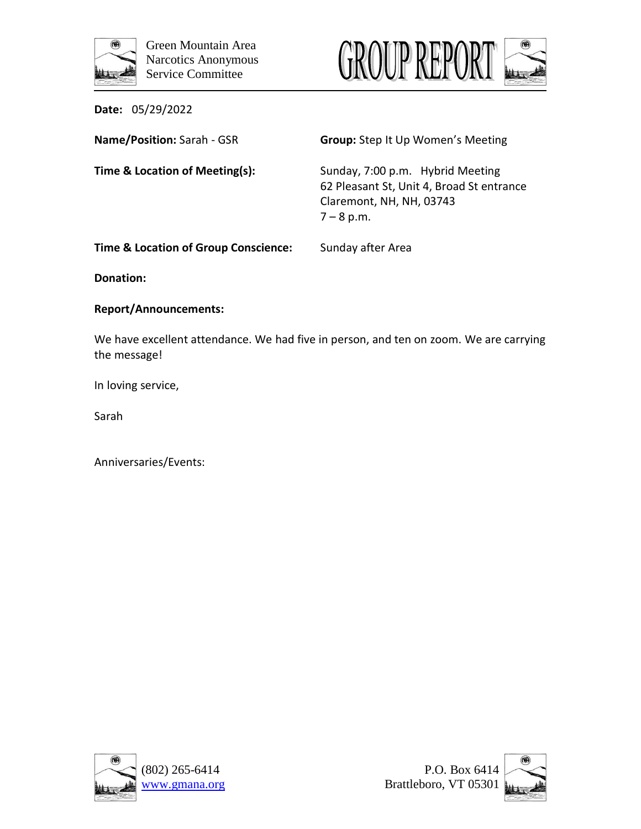



**Name/Position:** Sarah - GSR **Group:** Step It Up Women's Meeting

**Time & Location of Meeting(s):** Sunday, 7:00 p.m. Hybrid Meeting 62 Pleasant St, Unit 4, Broad St entrance Claremont, NH, NH, 03743  $7 - 8$  p.m.

**Time & Location of Group Conscience:** Sunday after Area

**Donation:**

# **Report/Announcements:**

We have excellent attendance. We had five in person, and ten on zoom. We are carrying the message!

In loving service,

Sarah





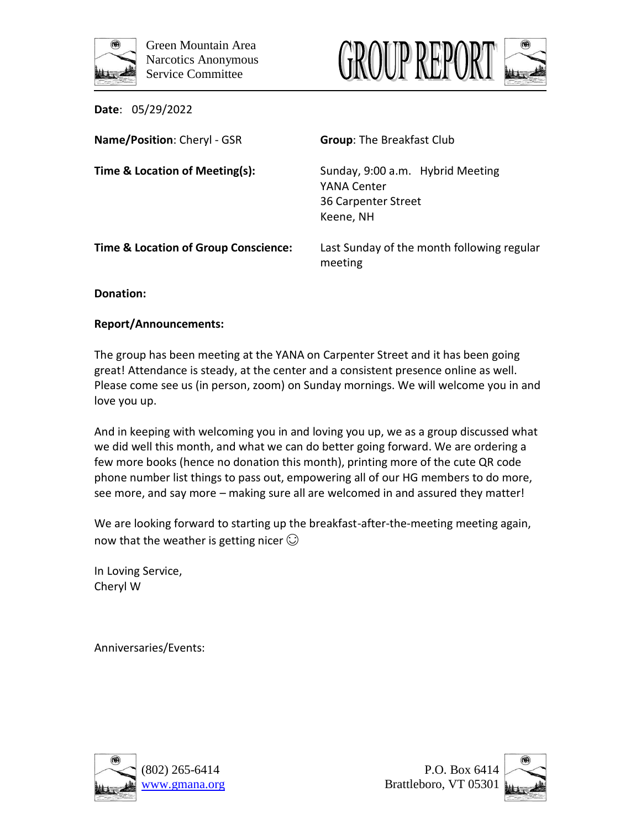





| Name/Position: Cheryl - GSR                     | <b>Group: The Breakfast Club</b>                                                    |
|-------------------------------------------------|-------------------------------------------------------------------------------------|
| Time & Location of Meeting(s):                  | Sunday, 9:00 a.m. Hybrid Meeting<br>YANA Center<br>36 Carpenter Street<br>Keene, NH |
| <b>Time &amp; Location of Group Conscience:</b> | Last Sunday of the month following regular<br>meeting                               |

**Donation:**

## **Report/Announcements:**

The group has been meeting at the YANA on Carpenter Street and it has been going great! Attendance is steady, at the center and a consistent presence online as well. Please come see us (in person, zoom) on Sunday mornings. We will welcome you in and love you up.

And in keeping with welcoming you in and loving you up, we as a group discussed what we did well this month, and what we can do better going forward. We are ordering a few more books (hence no donation this month), printing more of the cute QR code phone number list things to pass out, empowering all of our HG members to do more, see more, and say more – making sure all are welcomed in and assured they matter!

We are looking forward to starting up the breakfast-after-the-meeting meeting again, now that the weather is getting nicer  $\odot$ 

In Loving Service, Cheryl W





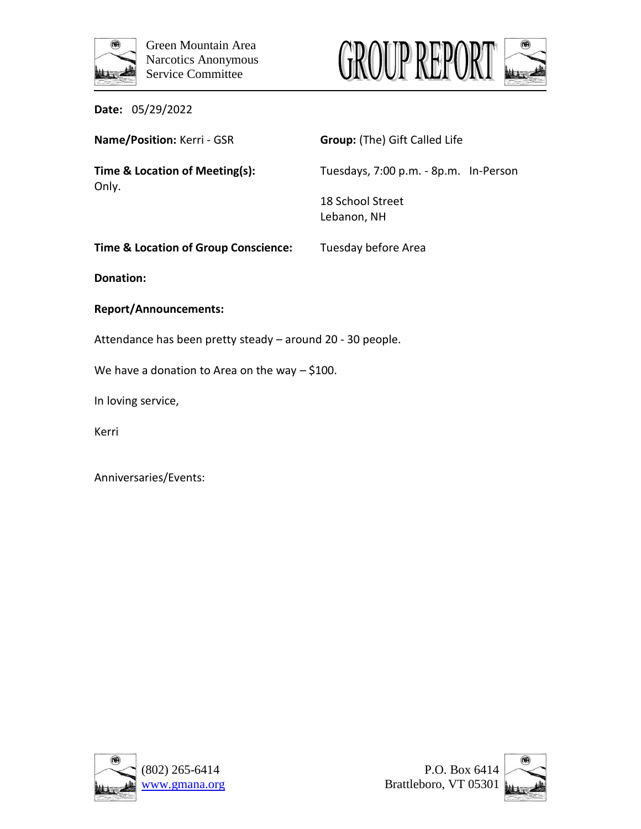



| Date: | 05/29/2022 |
|-------|------------|
|-------|------------|

| Name/Position: Kerri - GSR                      | <b>Group:</b> (The) Gift Called Life  |
|-------------------------------------------------|---------------------------------------|
| Time & Location of Meeting(s):<br>Only.         | Tuesdays, 7:00 p.m. - 8p.m. In-Person |
|                                                 | 18 School Street<br>Lebanon, NH       |
| <b>Time &amp; Location of Group Conscience:</b> | Tuesday before Area                   |

**Donation:**

# **Report/Announcements:**

Attendance has been pretty steady – around 20 - 30 people.

We have a donation to Area on the way - \$100.

In loving service,

Kerri



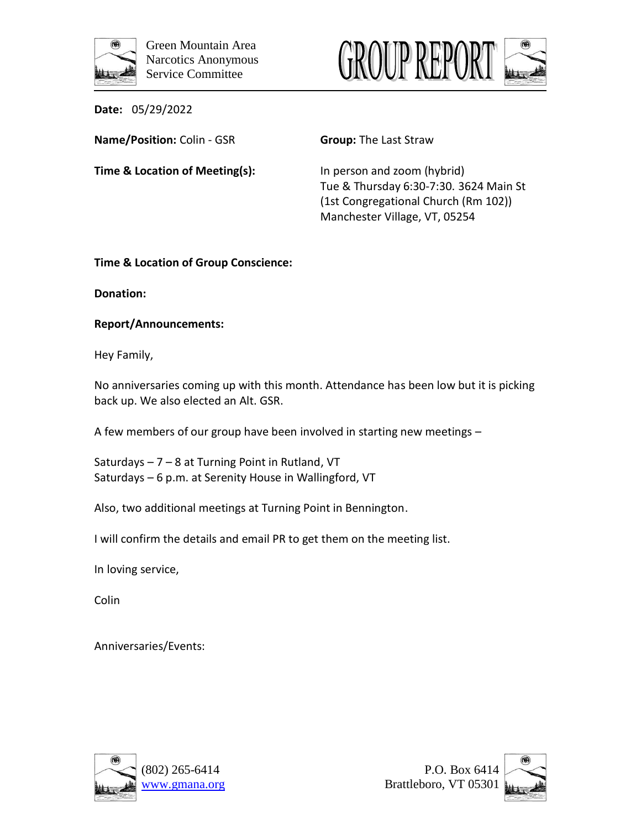



**Name/Position:** Colin - GSR **Group:** The Last Straw

**Time & Location of Meeting(s):** In person and zoom (hybrid)

Tue & Thursday 6:30-7:30. 3624 Main St (1st Congregational Church (Rm 102)) Manchester Village, VT, 05254

**Time & Location of Group Conscience:** 

**Donation:**

# **Report/Announcements:**

Hey Family,

No anniversaries coming up with this month. Attendance has been low but it is picking back up. We also elected an Alt. GSR.

A few members of our group have been involved in starting new meetings –

Saturdays – 7 – 8 at Turning Point in Rutland, VT Saturdays – 6 p.m. at Serenity House in Wallingford, VT

Also, two additional meetings at Turning Point in Bennington.

I will confirm the details and email PR to get them on the meeting list.

In loving service,

Colin





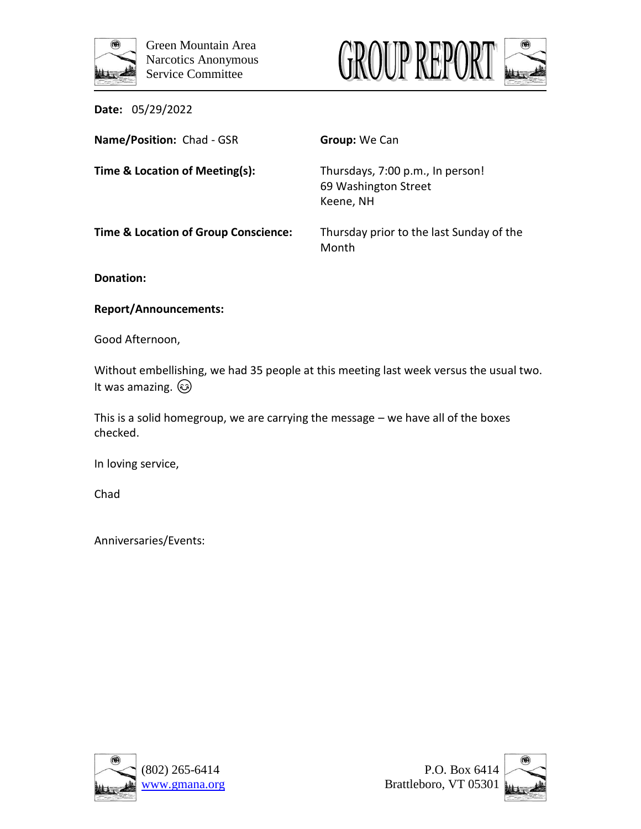



| Name/Position: Chad - GSR            | Group: We Can                                                         |
|--------------------------------------|-----------------------------------------------------------------------|
| Time & Location of Meeting(s):       | Thursdays, 7:00 p.m., In person!<br>69 Washington Street<br>Keene, NH |
| Time & Location of Group Conscience: | Thursday prior to the last Sunday of the<br>Month                     |

**Donation:** 

## **Report/Announcements:**

Good Afternoon,

Without embellishing, we had 35 people at this meeting last week versus the usual two. It was amazing.  $\circled{3}$ 

This is a solid homegroup, we are carrying the message – we have all of the boxes checked.

In loving service,

Chad





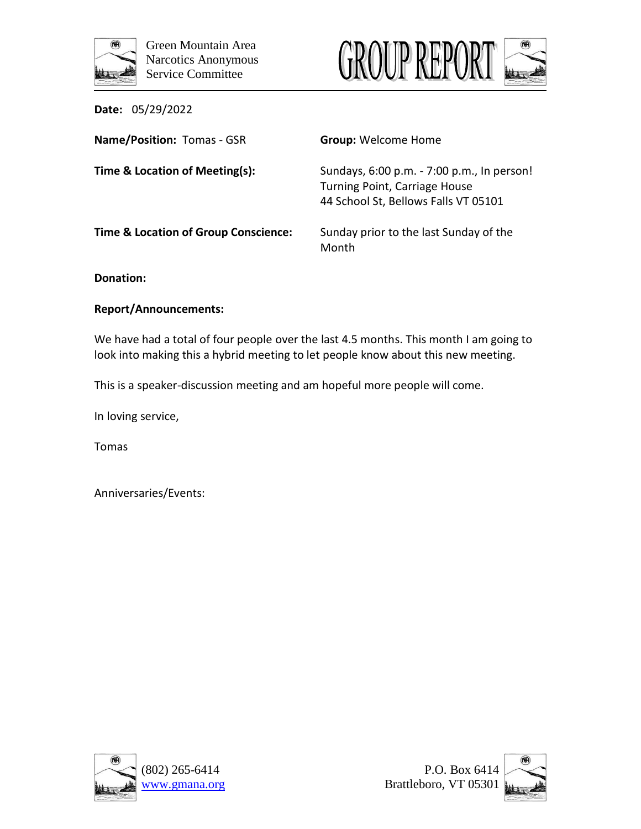



| Name/Position: Tomas - GSR           | <b>Group: Welcome Home</b>                                                                                                 |
|--------------------------------------|----------------------------------------------------------------------------------------------------------------------------|
| Time & Location of Meeting(s):       | Sundays, 6:00 p.m. - 7:00 p.m., In person!<br><b>Turning Point, Carriage House</b><br>44 School St, Bellows Falls VT 05101 |
| Time & Location of Group Conscience: | Sunday prior to the last Sunday of the<br>Month                                                                            |

**Donation:** 

## **Report/Announcements:**

We have had a total of four people over the last 4.5 months. This month I am going to look into making this a hybrid meeting to let people know about this new meeting.

This is a speaker-discussion meeting and am hopeful more people will come.

In loving service,

Tomas